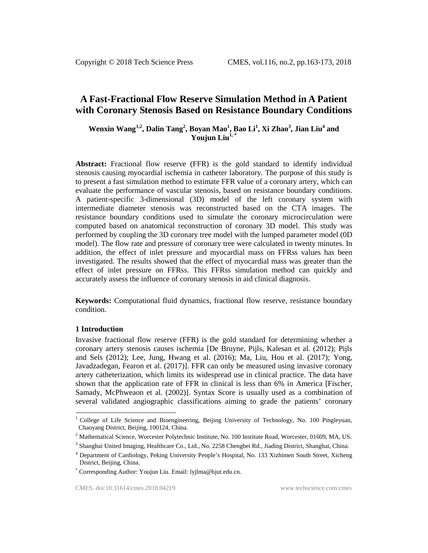# **A Fast-Fractional Flow Reserve Simulation Method in A Patient with Coronary Stenosis Based on Resistance Boundary Conditions**

# **Wenxin Wang[1](#page-0-0),2, Dalin Tang<sup>2</sup> , Boyan Mao<sup>1</sup> , Bao Li<sup>1</sup> , Xi Zhao<sup>3</sup> , Jian Liu4 and Youjun Liu<sup>1,\*</sup>**

**Abstract:** Fractional flow reserve (FFR) is the gold standard to identify individual stenosis causing myocardial ischemia in catheter laboratory. The purpose of this study is to present a fast simulation method to estimate FFR value of a coronary artery, which can evaluate the performance of vascular stenosis, based on resistance boundary conditions. A patient-specific 3-dimensional (3D) model of the left coronary system with intermediate diameter stenosis was reconstructed based on the CTA images. The resistance boundary conditions used to simulate the coronary microcirculation were computed based on anatomical reconstruction of coronary 3D model. This study was performed by coupling the 3D coronary tree model with the lumped parameter model (0D model). The flow rate and pressure of coronary tree were calculated in twenty minutes. In addition, the effect of inlet pressure and myocardial mass on FFRss values has been investigated. The results showed that the effect of myocardial mass was greater than the effect of inlet pressure on FFRss. This FFRss simulation method can quickly and accurately assess the influence of coronary stenosis in aid clinical diagnosis.

**Keywords:** Computational fluid dynamics, fractional flow reserve, resistance boundary condition.

### **1 Introduction**

Invasive fractional flow reserve (FFR) is the gold standard for determining whether a coronary artery stenosis causes ischemia [De Bruyne, Pijls, Kalesan et al. (2012); Pijls and Sels (2012); Lee, Jung, Hwang et al. (2016); Ma, Liu, Hou et al. (2017); Yong, Javadzadegan, Fearon et al. (2017)]. FFR can only be measured using invasive coronary artery catheterization, which limits its widespread use in clinical practice. The data have shown that the application rate of FFR in clinical is less than 6% in America [Fischer, Samady, McPhweaon et al. (2002)]. Syntax Score is usually used as a combination of several validated angiographic classifications aiming to grade the patients' coronary

<span id="page-0-0"></span> $1$  College of Life Science and Bioengineering, Beijing University of Technology, No. 100 Pingleyuan, Chaoyang District, Beijing, 100124, China.

 $2$  Mathematical Science, Worcester Polytechnic Institute, No. 100 Institute Road, Worcester, 01609, MA, US.

<sup>&</sup>lt;sup>3</sup> Shanghai United Imaging, Healthcare Co., Ltd., No. 2258 Chengbei Rd., Jiading District, Shanghai, China.

<sup>4</sup> Department of Cardiology, Peking University People's Hospital, No. 133 Xizhimen South Street, Xicheng District, Beijing, China.

<sup>\*</sup> Corresponding Author: Youjun Liu. Email: lyjlma@bjut.edu.cn.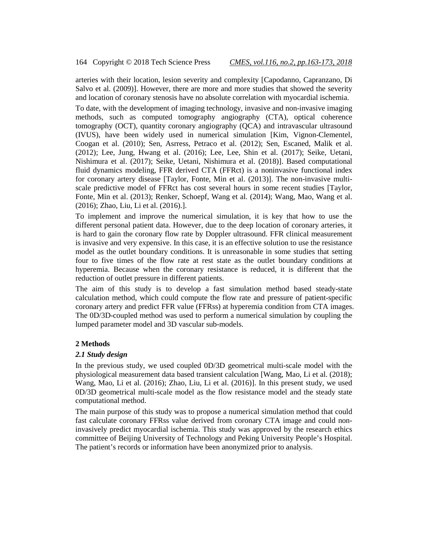arteries with their location, lesion severity and complexity [Capodanno, Capranzano, Di Salvo et al. (2009)]. However, there are more and more studies that showed the severity and location of coronary stenosis have no absolute correlation with myocardial ischemia.

To date, with the development of imaging technology, invasive and non-invasive imaging methods, such as computed tomography angiography (CTA), optical coherence tomography (OCT), quantity coronary angiography (QCA) and intravascular ultrasound (IVUS), have been widely used in numerical simulation [Kim, Vignon-Clementel, Coogan et al. (2010); Sen, Asrress, Petraco et al. (2012); Sen, Escaned, Malik et al. (2012); Lee, Jung, Hwang et al. (2016); Lee, Lee, Shin et al. (2017); Seike, Uetani, Nishimura et al. (2017); Seike, Uetani, Nishimura et al. (2018)]. Based computational fluid dynamics modeling, FFR derived CTA (FFRct) is a noninvasive functional index for coronary artery disease [Taylor, Fonte, Min et al. (2013)]. The non-invasive multiscale predictive model of FFRct has cost several hours in some recent studies [Taylor, Fonte, Min et al. (2013); Renker, Schoepf, Wang et al. (2014); Wang, Mao, Wang et al. (2016); Zhao, Liu, Li et al. (2016).].

To implement and improve the numerical simulation, it is key that how to use the different personal patient data. However, due to the deep location of coronary arteries, it is hard to gain the coronary flow rate by Doppler ultrasound. FFR clinical measurement is invasive and very expensive. In this case, it is an effective solution to use the resistance model as the outlet boundary conditions. It is unreasonable in some studies that setting four to five times of the flow rate at rest state as the outlet boundary conditions at hyperemia. Because when the coronary resistance is reduced, it is different that the reduction of outlet pressure in different patients.

The aim of this study is to develop a fast simulation method based steady-state calculation method, which could compute the flow rate and pressure of patient-specific coronary artery and predict FFR value (FFRss) at hyperemia condition from CTA images. The 0D/3D-coupled method was used to perform a numerical simulation by coupling the lumped parameter model and 3D vascular sub-models.

### **2 Methods**

### *2.1 Study design*

In the previous study, we used coupled 0D/3D geometrical multi-scale model with the physiological measurement data based transient calculation [Wang, Mao, Li et al. (2018); Wang, Mao, Li et al. (2016); Zhao, Liu, Li et al. (2016)]. In this present study, we used 0D/3D geometrical multi-scale model as the flow resistance model and the steady state computational method.

The main purpose of this study was to propose a numerical simulation method that could fast calculate coronary FFRss value derived from coronary CTA image and could noninvasively predict myocardial ischemia. This study was approved by the research ethics committee of Beijing University of Technology and Peking University People's Hospital. The patient's records or information have been anonymized prior to analysis.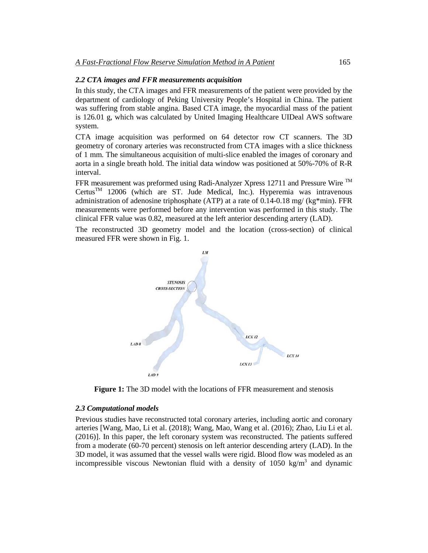## *2.2 CTA images and FFR measurements acquisition*

In this study, the CTA images and FFR measurements of the patient were provided by the department of cardiology of Peking University People's Hospital in China. The patient was suffering from stable angina. Based CTA image, the myocardial mass of the patient is 126.01 g, which was calculated by United Imaging Healthcare UIDeal AWS software system.

CTA image acquisition was performed on 64 detector row CT scanners. The 3D geometry of coronary arteries was reconstructed from CTA images with a slice thickness of 1 mm. The simultaneous acquisition of multi-slice enabled the images of coronary and aorta in a single breath hold. The initial data window was positioned at 50%-70% of R-R interval.

FFR measurement was preformed using Radi-Analyzer Xpress 12711 and Pressure Wire TM  $Certus<sup>TM</sup>$  12006 (which are ST. Jude Medical, Inc.). Hyperemia was intravenous administration of adenosine triphosphate (ATP) at a rate of  $0.14$ -0.18 mg/ (kg\*min). FFR measurements were performed before any intervention was performed in this study. The clinical FFR value was 0.82, measured at the left anterior descending artery (LAD).

The reconstructed 3D geometry model and the location (cross-section) of clinical measured FFR were shown in Fig. 1.



**Figure 1:** The 3D model with the locations of FFR measurement and stenosis

#### *2.3 Computational models*

Previous studies have reconstructed total coronary arteries, including aortic and coronary arteries [Wang, Mao, Li et al. (2018); Wang, Mao, Wang et al. (2016); Zhao, Liu Li et al. (2016)]. In this paper, the left coronary system was reconstructed. The patients suffered from a moderate (60-70 percent) stenosis on left anterior descending artery (LAD). In the 3D model, it was assumed that the vessel walls were rigid. Blood flow was modeled as an incompressible viscous Newtonian fluid with a density of  $1050 \text{ kg/m}^3$  and dynamic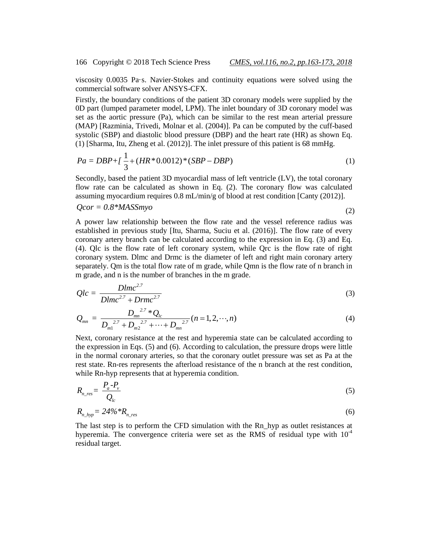viscosity 0.0035 Pa·s. Navier-Stokes and continuity equations were solved using the commercial software solver ANSYS-CFX.

Firstly, the boundary conditions of the patient 3D coronary models were supplied by the 0D part (lumped parameter model, LPM). The inlet boundary of 3D coronary model was set as the aortic pressure (Pa), which can be similar to the rest mean arterial pressure (MAP) [Razminia, Trivedi, Molnar et al. (2004)]. Pa can be computed by the cuff-based systolic (SBP) and diastolic blood pressure (DBP) and the heart rate (HR) as shown Eq. (1) [Sharma, Itu, Zheng et al. (2012)]. The inlet pressure of this patient is 68 mmHg.

$$
Pa = DBP + \left(\frac{1}{3} + (HR \times 0.0012) \times (SBP - DBP)\right) \tag{1}
$$

Secondly, based the patient 3D myocardial mass of left ventricle (LV), the total coronary flow rate can be calculated as shown in Eq. (2). The coronary flow was calculated assuming myocardium requires 0.8 mL/min/g of blood at rest condition [Canty (2012)].

$$
Qcor = 0.8*MASSmyo \tag{2}
$$

A power law relationship between the flow rate and the vessel reference radius was established in previous study [Itu, Sharma, Suciu et al. (2016)]. The flow rate of every coronary artery branch can be calculated according to the expression in Eq. (3) and Eq. (4). Qlc is the flow rate of left coronary system, while Qrc is the flow rate of right coronary system. Dlmc and Drmc is the diameter of left and right main coronary artery separately. Qm is the total flow rate of m grade, while Qmn is the flow rate of n branch in m grade, and n is the number of branches in the m grade.

$$
Qlc = \frac{Dlmc^{2.7}}{Dlmc^{2.7} + Drmc^{2.7}}
$$
\n
$$
(3)
$$

$$
Q_{mn} = \frac{D_{mn}^{2.7} * Q_{lc}}{D_{m1}^{2.7} + D_{m2}^{2.7} + \dots + D_{mn}^{2.7}} (n = 1, 2, \dots, n)
$$
\n(4)

Next, coronary resistance at the rest and hyperemia state can be calculated according to the expression in Eqs. (5) and (6). According to calculation, the pressure drops were little in the normal coronary arteries, so that the coronary outlet pressure was set as Pa at the rest state. Rn-res represents the afterload resistance of the n branch at the rest condition, while Rn-hyp represents that at hyperemia condition.

$$
R_{n\_res} = \frac{P_a - P_v}{Q_{lc}} \tag{5}
$$

$$
R_{n\_hyp} = 24\% R_{n\_res} \tag{6}
$$

The last step is to perform the CFD simulation with the Rn\_hyp as outlet resistances at hyperemia. The convergence criteria were set as the RMS of residual type with  $10^{-4}$ residual target.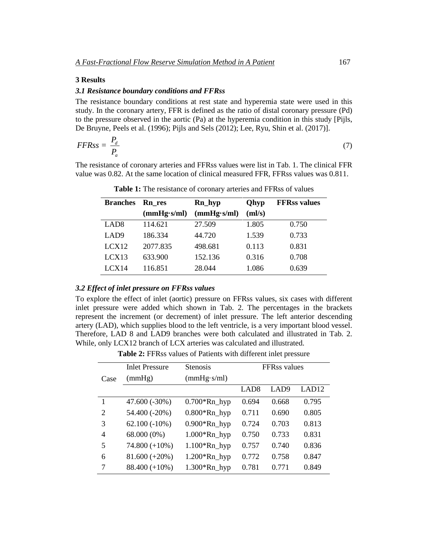### **3 Results**

#### *3.1 Resistance boundary conditions and FFRss*

The resistance boundary conditions at rest state and hyperemia state were used in this study. In the coronary artery, FFR is defined as the ratio of distal coronary pressure (Pd) to the pressure observed in the aortic (Pa) at the hyperemia condition in this study [Pijls, De Bruyne, Peels et al. (1996); Pijls and Sels (2012); Lee, Ryu, Shin et al. (2017)].

$$
FFRss = \frac{P_d}{P_a} \tag{7}
$$

The resistance of coronary arteries and FFRss values were list in Tab. 1. The clinical FFR value was 0.82. At the same location of clinical measured FFR, FFRss values was 0.811.

| <b>Branches</b>  | <b>Rn</b> res | Rn_hyp      | <b>Qhyp</b> | <b>FFRss values</b> |
|------------------|---------------|-------------|-------------|---------------------|
|                  | (mmHg·s/ml)   | (mmHg·s/ml) | (ml/s)      |                     |
| LAD <sub>8</sub> | 114.621       | 27.509      | 1.805       | 0.750               |
| LAD <sub>9</sub> | 186.334       | 44.720      | 1.539       | 0.733               |
| LCX12            | 2077.835      | 498.681     | 0.113       | 0.831               |
| LCX13            | 633.900       | 152.136     | 0.316       | 0.708               |
| LCX14            | 116.851       | 28.044      | 1.086       | 0.639               |

Table 1: The resistance of coronary arteries and FFRss of values

# *3.2 Effect of inlet pressure on FFRss values*

To explore the effect of inlet (aortic) pressure on FFRss values, six cases with different inlet pressure were added which shown in Tab. 2. The percentages in the brackets represent the increment (or decrement) of inlet pressure. The left anterior descending artery (LAD), which supplies blood to the left ventricle, is a very important blood vessel. Therefore, LAD 8 and LAD9 branches were both calculated and illustrated in Tab. 2. While, only LCX12 branch of LCX arteries was calculated and illustrated.

**Table 2:** FFRss values of Patients with different inlet pressure

|      | <b>Inlet Pressure</b> | <b>Stenosis</b> | <b>FFRss</b> values |       |                   |
|------|-----------------------|-----------------|---------------------|-------|-------------------|
| Case | (mmHg)                | (mmHg·s/ml)     |                     |       |                   |
|      |                       |                 | LAD8                | LAD9  | LAD <sub>12</sub> |
|      | $47.600(-30\%)$       | $0.700*Rn_hyp$  | 0.694               | 0.668 | 0.795             |
| 2    | 54.400 (-20%)         | $0.800*Rn_hyp$  | 0.711               | 0.690 | 0.805             |
| 3    | $62.100(-10\%)$       | $0.900*Rn_hyp$  | 0.724               | 0.703 | 0.813             |
| 4    | 68.000 (0%)           | $1.000*Rn_hyp$  | 0.750               | 0.733 | 0.831             |
| 5    | $74.800 (+10\%)$      | $1.100*Rn_hyp$  | 0.757               | 0.740 | 0.836             |
| 6    | $81.600 (+20\%)$      | $1.200*Rn_hyp$  | 0.772               | 0.758 | 0.847             |
| 7    | $88.400 (+10\%)$      | $1.300*Rn_hyp$  | 0.781               | 0.771 | 0.849             |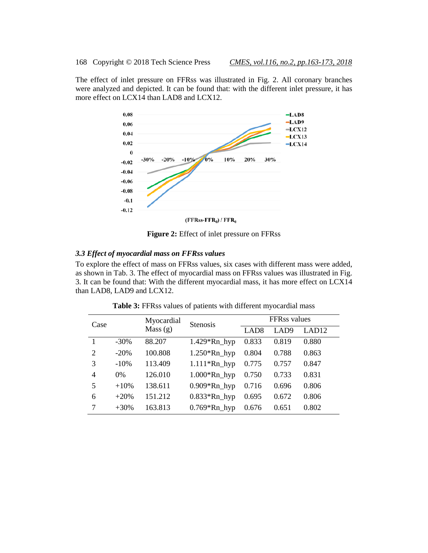The effect of inlet pressure on FFRss was illustrated in Fig. 2. All coronary branches were analyzed and depicted. It can be found that: with the different inlet pressure, it has more effect on LCX14 than LAD8 and LCX12.



**Figure 2:** Effect of inlet pressure on FFRss

# *3.3 Effect of myocardial mass on FFRss values*

To explore the effect of mass on FFRss values, six cases with different mass were added, as shown in Tab. 3. The effect of myocardial mass on FFRss values was illustrated in Fig. 3. It can be found that: With the different myocardial mass, it has more effect on LCX14 than LAD8, LAD9 and LCX12.

| Case           |         | Myocardial | <b>Stenosis</b> | FFRss values     |                  |                   |
|----------------|---------|------------|-----------------|------------------|------------------|-------------------|
|                |         | Mass(g)    |                 | LAD <sub>8</sub> | LAD <sub>9</sub> | LAD <sub>12</sub> |
|                | $-30\%$ | 88.207     | $1.429*Rn_hyp$  | 0.833            | 0.819            | 0.880             |
| $\overline{2}$ | $-20%$  | 100.808    | $1.250*Rn_hyp$  | 0.804            | 0.788            | 0.863             |
| 3              | $-10%$  | 113.409    | $1.111*Rn_hyp$  | 0.775            | 0.757            | 0.847             |
| $\overline{4}$ | $0\%$   | 126.010    | $1.000*Rn_hyp$  | 0.750            | 0.733            | 0.831             |
| 5              | $+10%$  | 138.611    | $0.909*Rn_hyp$  | 0.716            | 0.696            | 0.806             |
| 6              | $+20%$  | 151.212    | $0.833*Rn_hyp$  | 0.695            | 0.672            | 0.806             |
| 7              | $+30\%$ | 163.813    | $0.769*Rn_hyp$  | 0.676            | 0.651            | 0.802             |

**Table 3:** FFRss values of patients with different myocardial mass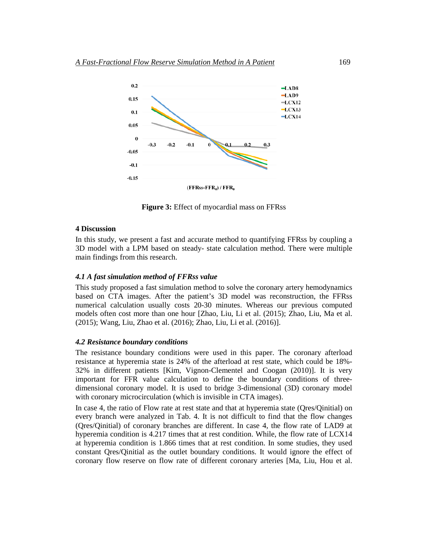

**Figure 3:** Effect of myocardial mass on FFRss

#### **4 Discussion**

In this study, we present a fast and accurate method to quantifying FFRss by coupling a 3D model with a LPM based on steady- state calculation method. There were multiple main findings from this research.

### *4.1 A fast simulation method of FFRss value*

This study proposed a fast simulation method to solve the coronary artery hemodynamics based on CTA images. After the patient's 3D model was reconstruction, the FFRss numerical calculation usually costs 20-30 minutes. Whereas our previous computed models often cost more than one hour [Zhao, Liu, Li et al. (2015); Zhao, Liu, Ma et al. (2015); Wang, Liu, Zhao et al. (2016); Zhao, Liu, Li et al. (2016)].

#### *4.2 Resistance boundary conditions*

The resistance boundary conditions were used in this paper. The coronary afterload resistance at hyperemia state is 24% of the afterload at rest state, which could be 18%- 32% in different patients [Kim, Vignon-Clementel and Coogan (2010)]. It is very important for FFR value calculation to define the boundary conditions of threedimensional coronary model. It is used to bridge 3-dimensional (3D) coronary model with coronary microcirculation (which is invisible in CTA images).

In case 4, the ratio of Flow rate at rest state and that at hyperemia state (Qres/Qinitial) on every branch were analyzed in Tab. 4. It is not difficult to find that the flow changes (Qres/Qinitial) of coronary branches are different. In case 4, the flow rate of LAD9 at hyperemia condition is 4.217 times that at rest condition. While, the flow rate of LCX14 at hyperemia condition is 1.866 times that at rest condition. In some studies, they used constant Qres/Qinitial as the outlet boundary conditions. It would ignore the effect of coronary flow reserve on flow rate of different coronary arteries [Ma, Liu, Hou et al.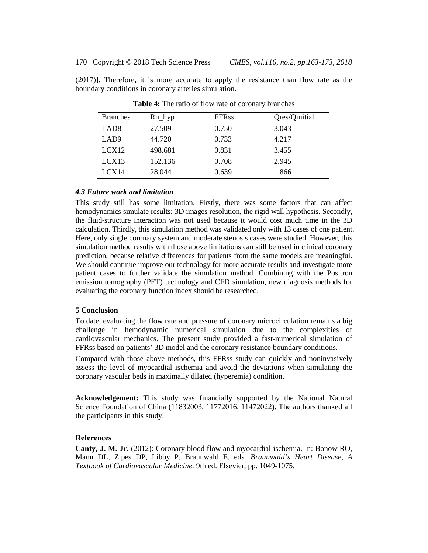(2017)]. Therefore, it is more accurate to apply the resistance than flow rate as the boundary conditions in coronary arteries simulation.

| <b>Branches</b>  | $Rn_{\perp}$ hyp | <b>FFRss</b> | Qres/Qinitial |
|------------------|------------------|--------------|---------------|
| LAD <sub>8</sub> | 27.509           | 0.750        | 3.043         |
| LAD <sub>9</sub> | 44.720           | 0.733        | 4.217         |
| LCX12            | 498.681          | 0.831        | 3.455         |
| LCX13            | 152.136          | 0.708        | 2.945         |
| LCX14            | 28.044           | 0.639        | 1.866         |

**Table 4:** The ratio of flow rate of coronary branches

### *4.3 Future work and limitation*

This study still has some limitation. Firstly, there was some factors that can affect hemodynamics simulate results: 3D images resolution, the rigid wall hypothesis. Secondly, the fluid-structure interaction was not used because it would cost much time in the 3D calculation. Thirdly, this simulation method was validated only with 13 cases of one patient. Here, only single coronary system and moderate stenosis cases were studied. However, this simulation method results with those above limitations can still be used in clinical coronary prediction, because relative differences for patients from the same models are meaningful. We should continue improve our technology for more accurate results and investigate more patient cases to further validate the simulation method. Combining with the Positron emission tomography (PET) technology and CFD simulation, new diagnosis methods for evaluating the coronary function index should be researched.

### **5 Conclusion**

To date, evaluating the flow rate and pressure of coronary microcirculation remains a big challenge in hemodynamic numerical simulation due to the complexities of cardiovascular mechanics. The present study provided a fast-numerical simulation of FFRss based on patients' 3D model and the coronary resistance boundary conditions.

Compared with those above methods, this FFRss study can quickly and noninvasively assess the level of myocardial ischemia and avoid the deviations when simulating the coronary vascular beds in maximally dilated (hyperemia) condition.

**Acknowledgement:** This study was financially supported by the National Natural Science Foundation of China (11832003, 11772016, 11472022). The authors thanked all the participants in this study.

### **References**

**Canty, J. M. Jr.** (2012): Coronary blood flow and myocardial ischemia. In: Bonow RO, Mann DL, Zipes DP, Libby P, Braunwald E, eds. *Braunwald's Heart Disease, A Textbook of Cardiovascular Medicine.* 9th ed. Elsevier, pp. 1049-1075.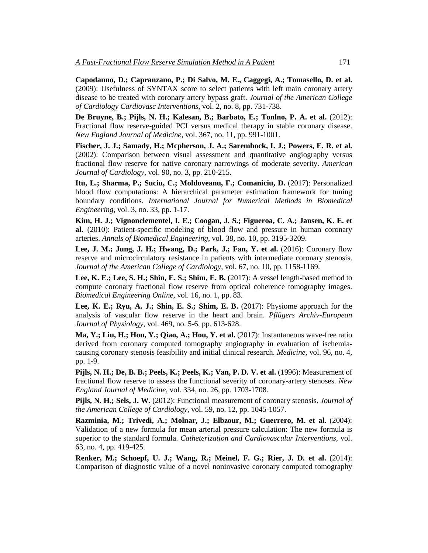**Capodanno, D.; Capranzano, P.; Di Salvo, M. E., Caggegi, A.; Tomasello, D. et al.** (2009): Usefulness of SYNTAX score to select patients with left main coronary artery disease to be treated with coronary artery bypass graft. *Journal of the American College of Cardiology Cardiovasc Interventions*, vol. 2, no. 8, pp. 731-738.

**De Bruyne, B.; Pijls, N. H.; Kalesan, B.; Barbato, E.; Tonlno, P. A. et al.** (2012): Fractional flow reserve-guided PCI versus medical therapy in stable coronary disease. *New England Journal of Medicine*, vol. 367, no. 11, pp. 991-1001.

**Fischer, J. J.; Samady, H.; Mcpherson, J. A.; Sarembock, I. J.; Powers, E. R. et al.** (2002): Comparison between visual assessment and quantitative angiography versus fractional flow reserve for native coronary narrowings of moderate severity. *American Journal of Cardiology*, vol. 90, no. 3, pp. 210-215.

**Itu, L.; Sharma, P.; Suciu, C.; Moldoveanu, F.; Comaniciu, D.** (2017): Personalized blood flow computations: A hierarchical parameter estimation framework for tuning boundary conditions. *International Journal for Numerical Methods in Biomedical Engineering*, vol. 3, no. 33, pp. 1-17.

**Kim, H. J.; Vignonclementel, I. E.; Coogan, J. S.; Figueroa, C. A.; Jansen, K. E. et al.** (2010): Patient-specific modeling of blood flow and pressure in human coronary arteries. *Annals of Biomedical Engineering*, vol. 38, no. 10, pp. 3195-3209.

**Lee, J. M.; Jung, J. H.; Hwang, D.; Park, J.; Fan, Y. et al.** (2016): Coronary flow reserve and microcirculatory resistance in patients with intermediate coronary stenosis. *Journal of the American College of Cardiology*, vol. 67, no. 10, pp. 1158-1169.

**Lee, K. E.; Lee, S. H.; Shin, E. S.; Shim, E. B.** (2017): A vessel length-based method to compute coronary fractional flow reserve from optical coherence tomography images. *Biomedical Engineering Online*, vol. 16, no. 1, pp. 83.

**Lee, K. E.; Ryu, A. J.; Shin, E. S.; Shim, E. B.** (2017): Physiome approach for the analysis of vascular flow reserve in the heart and brain. *Pflügers Archiv-European Journal of Physiology*, vol. 469, no. 5-6, pp. 613-628.

**Ma, Y.; Liu, H.; Hou, Y.; Qiao, A.; Hou, Y. et al.** (2017): Instantaneous wave-free ratio derived from coronary computed tomography angiography in evaluation of ischemiacausing coronary stenosis feasibility and initial clinical research. *Medicine*, vol. 96, no. 4, pp. 1-9.

**Pijls, N. H.; De, B. B.; Peels, K.; Peels, K.; Van, P. D. V. et al.** (1996): Measurement of fractional flow reserve to assess the functional severity of coronary-artery stenoses. *New England Journal of Medicine*, vol. 334, no. 26, pp. 1703-1708.

**Pijls, N. H.; Sels, J. W.** (2012): Functional measurement of coronary stenosis. *Journal of the American College of Cardiology*, vol. 59, no. 12, pp. 1045-1057.

**Razminia, M.; Trivedi, A.; Molnar, J.; Elbzour, M.; Guerrero, M. et al.** (2004): Validation of a new formula for mean arterial pressure calculation: The new formula is superior to the standard formula. *Catheterization and Cardiovascular Interventions*, vol. 63, no. 4, pp. 419-425.

**Renker, M.; Schoepf, U. J.; Wang, R.; Meinel, F. G.; Rier, J. D. et al.** (2014): Comparison of diagnostic value of a novel noninvasive coronary computed tomography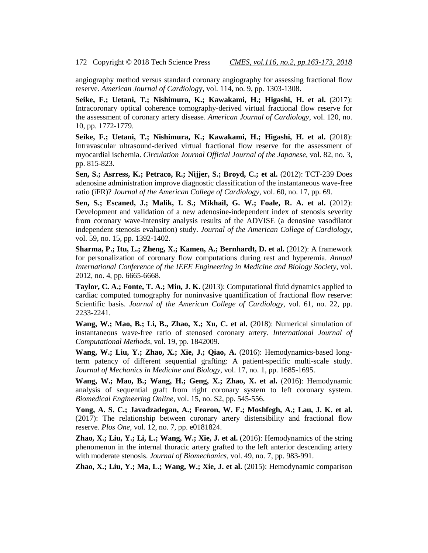angiography method versus standard coronary angiography for assessing fractional flow reserve. *American Journal of Cardiolog*y, vol. 114, no. 9, pp. 1303-1308.

**Seike, F.; Uetani, T.; Nishimura, K.; Kawakami, H.; Higashi, H. et al.** (2017): Intracoronary optical coherence tomography-derived virtual fractional flow reserve for the assessment of coronary artery disease. *American Journal of Cardiology*, vol. 120, no. 10, pp. 1772-1779.

**Seike, F.; Uetani, T.; Nishimura, K.; Kawakami, H.; Higashi, H. et al.** (2018): Intravascular ultrasound-derived virtual fractional flow reserve for the assessment of myocardial ischemia. *Circulation Journal Official Journal of the Japanese*, vol. 82, no. 3, pp. 815-823.

**Sen, S.; Asrress, K.; Petraco, R.; Nijjer, S.; Broyd, C.; et al.** (2012): TCT-239 Does adenosine administration improve diagnostic classification of the instantaneous wave-free ratio (iFR)? *Journal of the American College of Cardiology*, vol. 60, no. 17, pp. 69.

**Sen, S.; Escaned, J.; Malik, I. S.; Mikhail, G. W.; Foale, R. A. et al.** (2012): Development and validation of a new adenosine-independent index of stenosis severity from coronary wave-intensity analysis results of the ADVISE (a denosine vasodilator independent stenosis evaluation) study. *Journal of the American College of Cardiology*, vol. 59, no. 15, pp. 1392-1402.

**Sharma, P.; Itu, L.; Zheng, X.; Kamen, A.; Bernhardt, D. et al.** (2012): A framework for personalization of coronary flow computations during rest and hyperemia. *Annual International Conference of the IEEE Engineering in Medicine and Biology Society*, vol. 2012, no. 4, pp. 6665-6668.

**Taylor, C. A.; Fonte, T. A.; Min, J. K.** (2013): Computational fluid dynamics applied to cardiac computed tomography for noninvasive quantification of fractional flow reserve: Scientific basis. *Journal of the American College of Cardiology*, vol. 61, no. 22, pp. 2233-2241.

**Wang, W.; Mao, B.; Li, B., Zhao, X.; Xu, C. et al.** (2018): Numerical simulation of instantaneous wave-free ratio of stenosed coronary artery. *International Journal of Computational Methods*, vol. 19, pp. 1842009.

**Wang, W.; Liu, Y.; Zhao, X.; Xie, J.; Qiao, A.** (2016): Hemodynamics-based longterm patency of different sequential grafting: A patient-specific multi-scale study. *Journal of Mechanics in Medicine and Biology*, vol. 17, no. 1, pp. 1685-1695.

**Wang, W.; Mao, B.; Wang, H.; Geng, X.; Zhao, X. et al.** (2016): Hemodynamic analysis of sequential graft from right coronary system to left coronary system. *Biomedical Engineering Online*, vol. 15, no. S2, pp. 545-556.

**Yong, A. S. C.; Javadzadegan, A.; Fearon, W. F.; Moshfegh, A.; Lau, J. K. et al.** (2017): The relationship between coronary artery distensibility and fractional flow reserve. *Plos One*, vol. 12, no. 7, pp. e0181824.

**Zhao, X.; Liu, Y.; Li, L.; Wang, W.; Xie, J. et al.** (2016): Hemodynamics of the string phenomenon in the internal thoracic artery grafted to the left anterior descending artery with moderate stenosis. *Journal of Biomechanics*, vol. 49, no. 7, pp. 983-991.

**Zhao, X.; Liu, Y.; Ma, L.; Wang, W.; Xie, J. et al.** (2015): Hemodynamic comparison